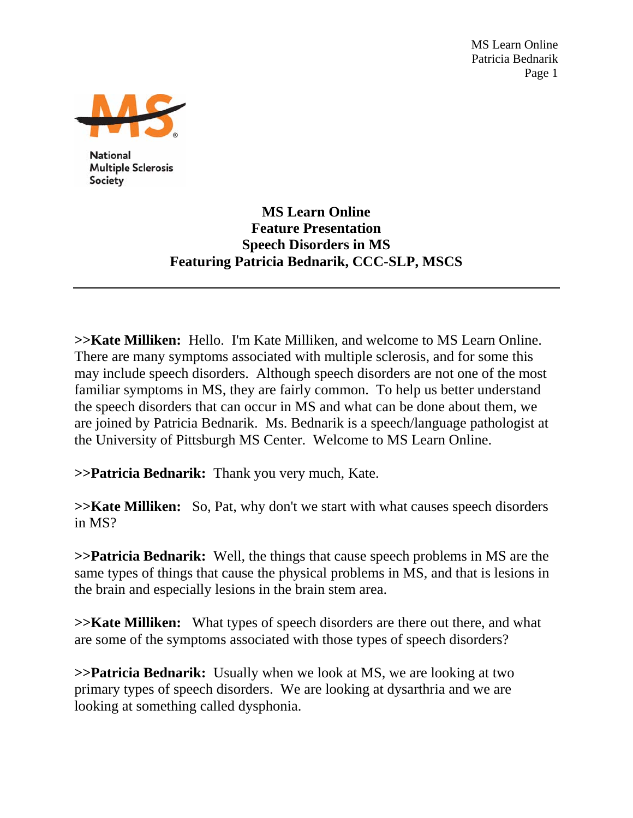MS Learn Online Patricia Bednarik Page 1



**National Multiple Sclerosis** Society

## **MS Learn Online Feature Presentation Speech Disorders in MS Featuring Patricia Bednarik, CCC-SLP, MSCS**

**>>Kate Milliken:** Hello. I'm Kate Milliken, and welcome to MS Learn Online. There are many symptoms associated with multiple sclerosis, and for some this may include speech disorders. Although speech disorders are not one of the most familiar symptoms in MS, they are fairly common. To help us better understand the speech disorders that can occur in MS and what can be done about them, we are joined by Patricia Bednarik. Ms. Bednarik is a speech/language pathologist at the University of Pittsburgh MS Center. Welcome to MS Learn Online.

**>>Patricia Bednarik:** Thank you very much, Kate.

**>>Kate Milliken:** So, Pat, why don't we start with what causes speech disorders in MS?

**>>Patricia Bednarik:** Well, the things that cause speech problems in MS are the same types of things that cause the physical problems in MS, and that is lesions in the brain and especially lesions in the brain stem area.

**>>Kate Milliken:** What types of speech disorders are there out there, and what are some of the symptoms associated with those types of speech disorders?

**>>Patricia Bednarik:** Usually when we look at MS, we are looking at two primary types of speech disorders. We are looking at dysarthria and we are looking at something called dysphonia.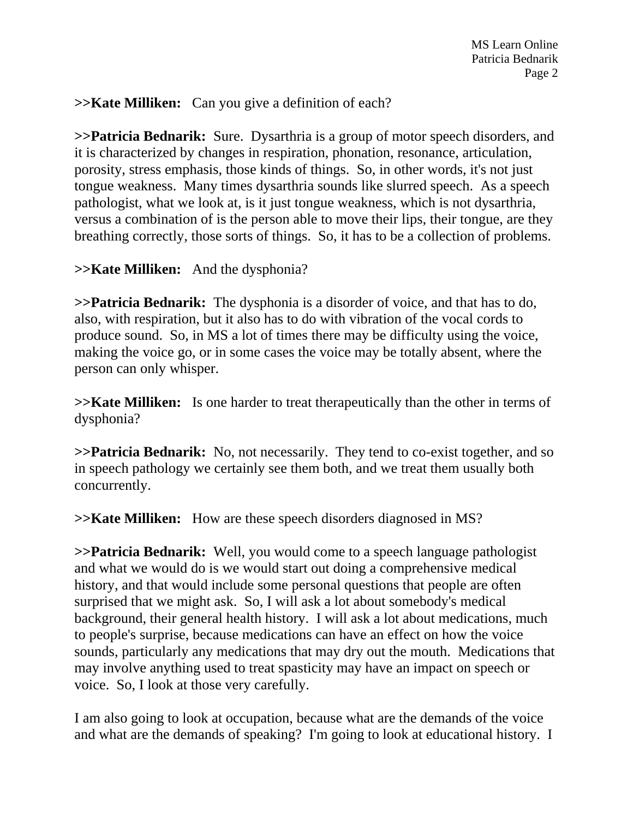**>>Kate Milliken:** Can you give a definition of each?

**>>Patricia Bednarik:** Sure. Dysarthria is a group of motor speech disorders, and it is characterized by changes in respiration, phonation, resonance, articulation, porosity, stress emphasis, those kinds of things. So, in other words, it's not just tongue weakness. Many times dysarthria sounds like slurred speech. As a speech pathologist, what we look at, is it just tongue weakness, which is not dysarthria, versus a combination of is the person able to move their lips, their tongue, are they breathing correctly, those sorts of things. So, it has to be a collection of problems.

## **>>Kate Milliken:** And the dysphonia?

**>>Patricia Bednarik:** The dysphonia is a disorder of voice, and that has to do, also, with respiration, but it also has to do with vibration of the vocal cords to produce sound. So, in MS a lot of times there may be difficulty using the voice, making the voice go, or in some cases the voice may be totally absent, where the person can only whisper.

**>>Kate Milliken:** Is one harder to treat therapeutically than the other in terms of dysphonia?

**>>Patricia Bednarik:** No, not necessarily. They tend to co-exist together, and so in speech pathology we certainly see them both, and we treat them usually both concurrently.

**>>Kate Milliken:** How are these speech disorders diagnosed in MS?

**>>Patricia Bednarik:** Well, you would come to a speech language pathologist and what we would do is we would start out doing a comprehensive medical history, and that would include some personal questions that people are often surprised that we might ask. So, I will ask a lot about somebody's medical background, their general health history. I will ask a lot about medications, much to people's surprise, because medications can have an effect on how the voice sounds, particularly any medications that may dry out the mouth. Medications that may involve anything used to treat spasticity may have an impact on speech or voice. So, I look at those very carefully.

I am also going to look at occupation, because what are the demands of the voice and what are the demands of speaking? I'm going to look at educational history. I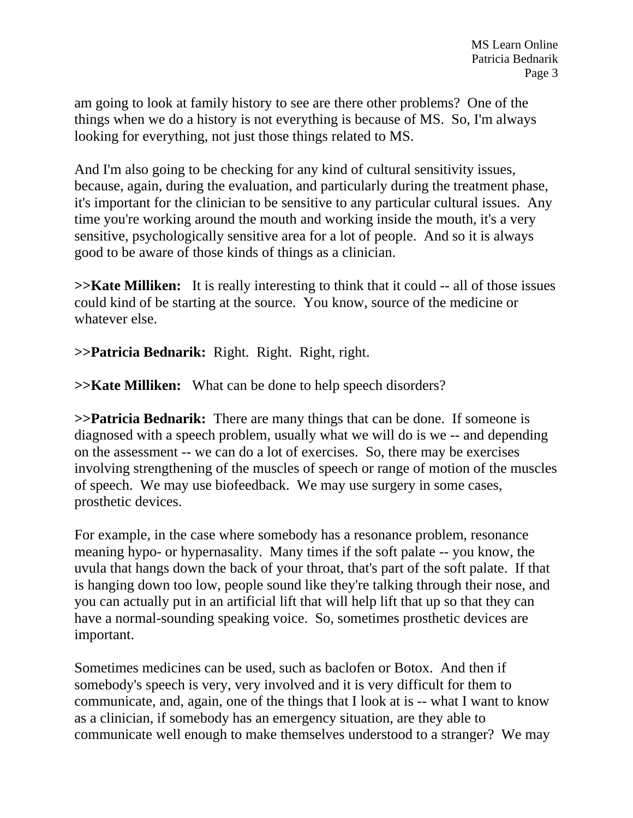am going to look at family history to see are there other problems? One of the things when we do a history is not everything is because of MS. So, I'm always looking for everything, not just those things related to MS.

And I'm also going to be checking for any kind of cultural sensitivity issues, because, again, during the evaluation, and particularly during the treatment phase, it's important for the clinician to be sensitive to any particular cultural issues. Any time you're working around the mouth and working inside the mouth, it's a very sensitive, psychologically sensitive area for a lot of people. And so it is always good to be aware of those kinds of things as a clinician.

**>>Kate Milliken:** It is really interesting to think that it could -- all of those issues could kind of be starting at the source. You know, source of the medicine or whatever else.

**>>Patricia Bednarik:** Right. Right. Right, right.

**>>Kate Milliken:** What can be done to help speech disorders?

**>>Patricia Bednarik:** There are many things that can be done. If someone is diagnosed with a speech problem, usually what we will do is we -- and depending on the assessment -- we can do a lot of exercises. So, there may be exercises involving strengthening of the muscles of speech or range of motion of the muscles of speech. We may use biofeedback. We may use surgery in some cases, prosthetic devices.

For example, in the case where somebody has a resonance problem, resonance meaning hypo- or hypernasality. Many times if the soft palate -- you know, the uvula that hangs down the back of your throat, that's part of the soft palate. If that is hanging down too low, people sound like they're talking through their nose, and you can actually put in an artificial lift that will help lift that up so that they can have a normal-sounding speaking voice. So, sometimes prosthetic devices are important.

Sometimes medicines can be used, such as baclofen or Botox. And then if somebody's speech is very, very involved and it is very difficult for them to communicate, and, again, one of the things that I look at is -- what I want to know as a clinician, if somebody has an emergency situation, are they able to communicate well enough to make themselves understood to a stranger? We may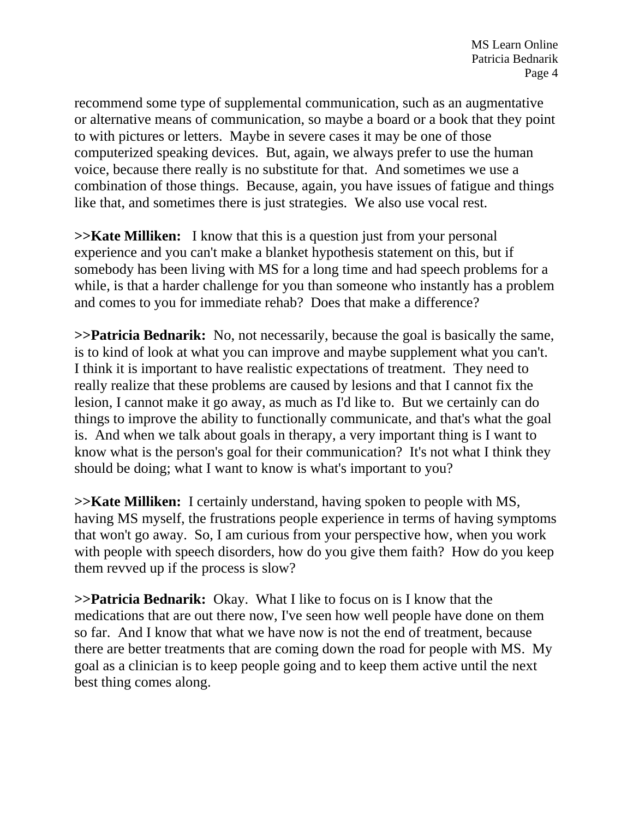recommend some type of supplemental communication, such as an augmentative or alternative means of communication, so maybe a board or a book that they point to with pictures or letters. Maybe in severe cases it may be one of those computerized speaking devices. But, again, we always prefer to use the human voice, because there really is no substitute for that. And sometimes we use a combination of those things. Because, again, you have issues of fatigue and things like that, and sometimes there is just strategies. We also use vocal rest.

**>>Kate Milliken:** I know that this is a question just from your personal experience and you can't make a blanket hypothesis statement on this, but if somebody has been living with MS for a long time and had speech problems for a while, is that a harder challenge for you than someone who instantly has a problem and comes to you for immediate rehab? Does that make a difference?

**>>Patricia Bednarik:** No, not necessarily, because the goal is basically the same, is to kind of look at what you can improve and maybe supplement what you can't. I think it is important to have realistic expectations of treatment. They need to really realize that these problems are caused by lesions and that I cannot fix the lesion, I cannot make it go away, as much as I'd like to. But we certainly can do things to improve the ability to functionally communicate, and that's what the goal is. And when we talk about goals in therapy, a very important thing is I want to know what is the person's goal for their communication? It's not what I think they should be doing; what I want to know is what's important to you?

**>>Kate Milliken:** I certainly understand, having spoken to people with MS, having MS myself, the frustrations people experience in terms of having symptoms that won't go away. So, I am curious from your perspective how, when you work with people with speech disorders, how do you give them faith? How do you keep them revved up if the process is slow?

**>>Patricia Bednarik:** Okay. What I like to focus on is I know that the medications that are out there now, I've seen how well people have done on them so far. And I know that what we have now is not the end of treatment, because there are better treatments that are coming down the road for people with MS. My goal as a clinician is to keep people going and to keep them active until the next best thing comes along.